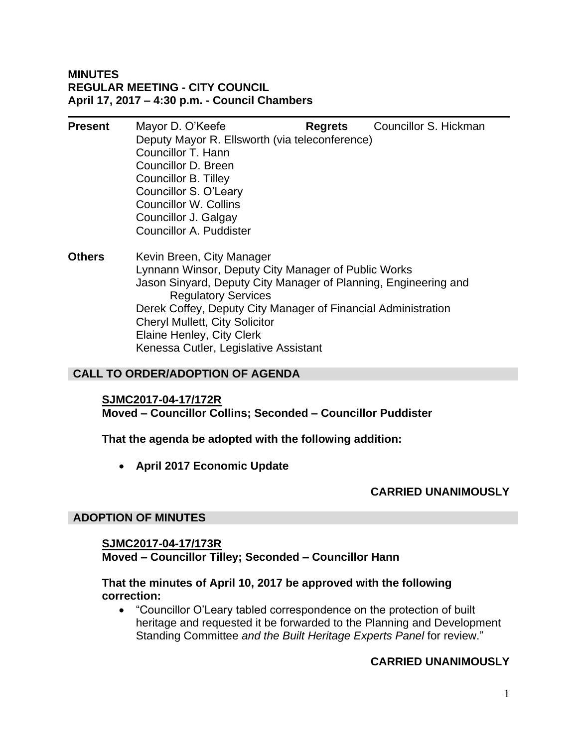# **MINUTES REGULAR MEETING - CITY COUNCIL April 17, 2017 – 4:30 p.m. - Council Chambers**

| <b>Present</b> | Mayor D. O'Keefe                                                         | <b>Regrets</b> | Councillor S. Hickman |
|----------------|--------------------------------------------------------------------------|----------------|-----------------------|
|                | Deputy Mayor R. Ellsworth (via teleconference)                           |                |                       |
|                | Councillor T. Hann                                                       |                |                       |
|                | Councillor D. Breen                                                      |                |                       |
|                | Councillor B. Tilley                                                     |                |                       |
|                | Councillor S. O'Leary                                                    |                |                       |
|                | <b>Councillor W. Collins</b>                                             |                |                       |
|                | Councillor J. Galgay                                                     |                |                       |
|                | Councillor A. Puddister                                                  |                |                       |
|                | $\mathbf{r}$ , $\mathbf{r}$ , $\mathbf{r}$ , $\mathbf{r}$ , $\mathbf{r}$ |                |                       |

**Others** Kevin Breen, City Manager Lynnann Winsor, Deputy City Manager of Public Works Jason Sinyard, Deputy City Manager of Planning, Engineering and Regulatory Services Derek Coffey, Deputy City Manager of Financial Administration Cheryl Mullett, City Solicitor Elaine Henley, City Clerk Kenessa Cutler, Legislative Assistant

# **CALL TO ORDER/ADOPTION OF AGENDA**

#### **SJMC2017-04-17/172R**

**Moved – Councillor Collins; Seconded – Councillor Puddister**

**That the agenda be adopted with the following addition:**

**April 2017 Economic Update**

# **CARRIED UNANIMOUSLY**

# **ADOPTION OF MINUTES**

# **SJMC2017-04-17/173R**

**Moved – Councillor Tilley; Seconded – Councillor Hann**

# **That the minutes of April 10, 2017 be approved with the following correction:**

 "Councillor O'Leary tabled correspondence on the protection of built heritage and requested it be forwarded to the Planning and Development Standing Committee *and the Built Heritage Experts Panel* for review."

# **CARRIED UNANIMOUSLY**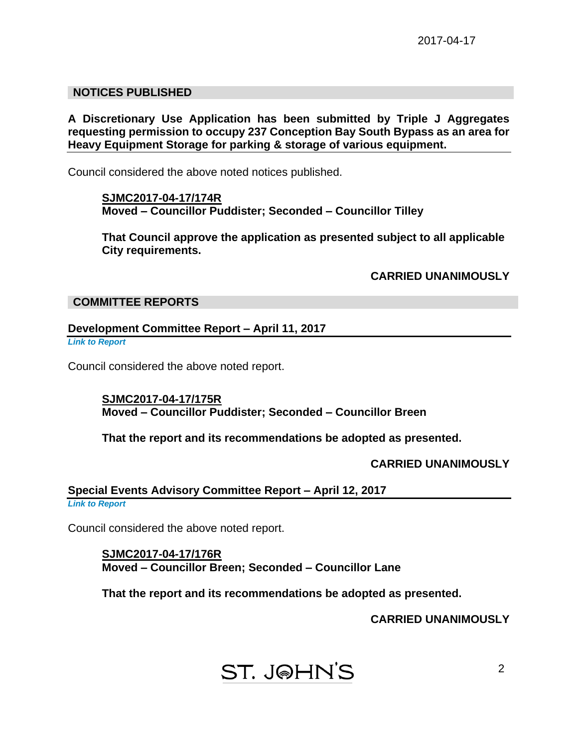# **NOTICES PUBLISHED**

**A Discretionary Use Application has been submitted by Triple J Aggregates requesting permission to occupy 237 Conception Bay South Bypass as an area for Heavy Equipment Storage for parking & storage of various equipment.**

Council considered the above noted notices published.

**SJMC2017-04-17/174R Moved – Councillor Puddister; Seconded – Councillor Tilley**

**That Council approve the application as presented subject to all applicable City requirements.**

**CARRIED UNANIMOUSLY**

## **COMMITTEE REPORTS**

## **Development Committee Report – April 11, 2017**

*Link to Report*

Council considered the above noted report.

**SJMC2017-04-17/175R Moved – Councillor Puddister; Seconded – Councillor Breen**

**That the report and its recommendations be adopted as presented.**

**CARRIED UNANIMOUSLY**

# **Special Events Advisory Committee Report – April 12, 2017**

*Link to Report*

Council considered the above noted report.

**SJMC2017-04-17/176R Moved – Councillor Breen; Seconded – Councillor Lane**

**That the report and its recommendations be adopted as presented.**

**CARRIED UNANIMOUSLY**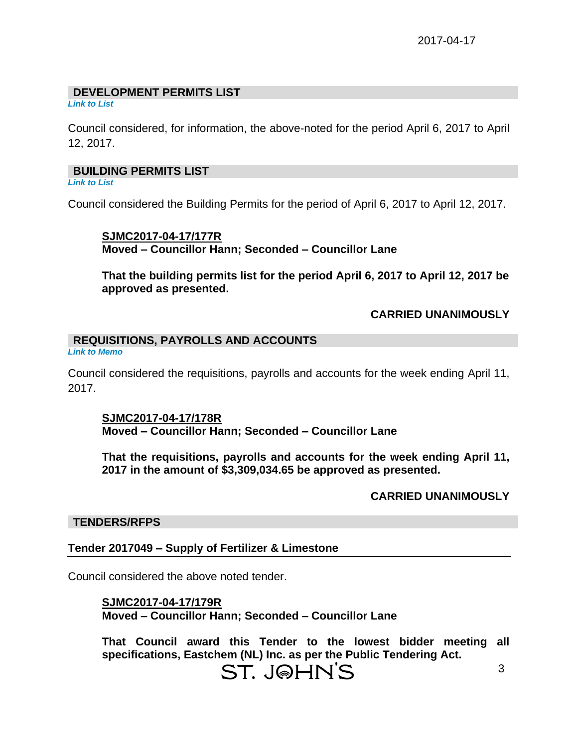# **DEVELOPMENT PERMITS LIST**

*Link to List*

Council considered, for information, the above-noted for the period April 6, 2017 to April 12, 2017.

# **BUILDING PERMITS LIST**

*Link to List*

Council considered the Building Permits for the period of April 6, 2017 to April 12, 2017.

**SJMC2017-04-17/177R Moved – Councillor Hann; Seconded – Councillor Lane**

**That the building permits list for the period April 6, 2017 to April 12, 2017 be approved as presented.**

# **CARRIED UNANIMOUSLY**

# **REQUISITIONS, PAYROLLS AND ACCOUNTS**

*Link to Memo*

Council considered the requisitions, payrolls and accounts for the week ending April 11, 2017.

# **SJMC2017-04-17/178R**

**Moved – Councillor Hann; Seconded – Councillor Lane**

**That the requisitions, payrolls and accounts for the week ending April 11, 2017 in the amount of \$3,309,034.65 be approved as presented.**

# **CARRIED UNANIMOUSLY**

#### **TENDERS/RFPS**

# **Tender 2017049 – Supply of Fertilizer & Limestone**

Council considered the above noted tender.

#### **SJMC2017-04-17/179R**

**Moved – Councillor Hann; Seconded – Councillor Lane**

**That Council award this Tender to the lowest bidder meeting all specifications, Eastchem (NL) Inc. as per the Public Tendering Act.**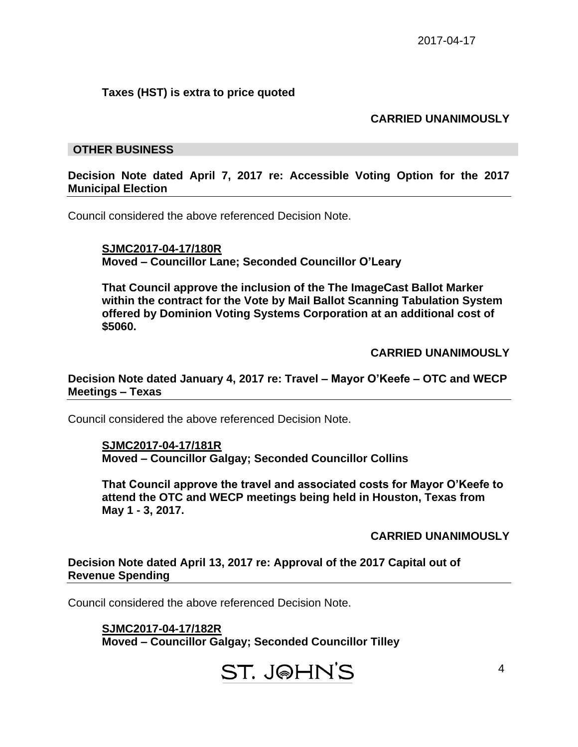# **Taxes (HST) is extra to price quoted**

# **CARRIED UNANIMOUSLY**

### **OTHER BUSINESS**

### **Decision Note dated April 7, 2017 re: Accessible Voting Option for the 2017 Municipal Election**

Council considered the above referenced Decision Note.

**SJMC2017-04-17/180R Moved – Councillor Lane; Seconded Councillor O'Leary**

**That Council approve the inclusion of the The ImageCast Ballot Marker within the contract for the Vote by Mail Ballot Scanning Tabulation System offered by Dominion Voting Systems Corporation at an additional cost of \$5060.**

**CARRIED UNANIMOUSLY**

**Decision Note dated January 4, 2017 re: Travel – Mayor O'Keefe – OTC and WECP Meetings – Texas**

Council considered the above referenced Decision Note.

**SJMC2017-04-17/181R Moved – Councillor Galgay; Seconded Councillor Collins**

**That Council approve the travel and associated costs for Mayor O'Keefe to attend the OTC and WECP meetings being held in Houston, Texas from May 1 - 3, 2017.**

**CARRIED UNANIMOUSLY**

#### **Decision Note dated April 13, 2017 re: Approval of the 2017 Capital out of Revenue Spending**

Council considered the above referenced Decision Note.

**SJMC2017-04-17/182R Moved – Councillor Galgay; Seconded Councillor Tilley**

ST. J@HN'S